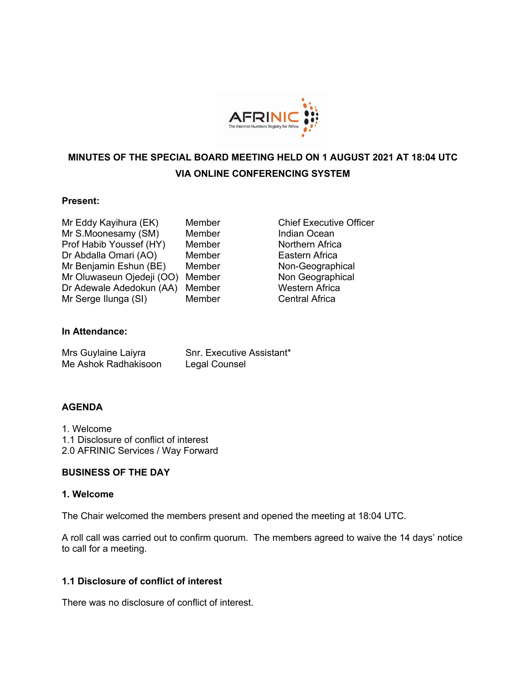

# **MINUTES OF THE SPECIAL BOARD MEETING HELD ON 1 AUGUST 2021 AT 18:04 UTC VIA ONLINE CONFERENCING SYSTEM**

#### **Present:**

- Mr Eddy Kayihura (EK) Member Chief Executive Officer Mr S.Moonesamy (SM) Member Indian Ocean Prof Habib Youssef (HY) Member Northern Africa Dr Abdalla Omari (AO) Member Eastern Africa Mr Benjamin Eshun (BE) Member Non-Geographical Mr Oluwaseun Ojedeji (OO) Member Non Geographical Dr Adewale Adedokun (AA) Member Western Africa Mr Serge Ilunga (SI) Member Central Africa
	-

# **In Attendance:**

| Mrs Guylaine Laiyra  | <b>Snr. Executive Assistant*</b> |
|----------------------|----------------------------------|
| Me Ashok Radhakisoon | Legal Counsel                    |

# **AGENDA**

1. Welcome 1.1 Disclosure of conflict of interest 2.0 AFRINIC Services / Way Forward

# **BUSINESS OF THE DAY**

# **1. Welcome**

The Chair welcomed the members present and opened the meeting at 18:04 UTC.

A roll call was carried out to confirm quorum. The members agreed to waive the 14 days' notice to call for a meeting.

# **1.1 Disclosure of conflict of interest**

There was no disclosure of conflict of interest.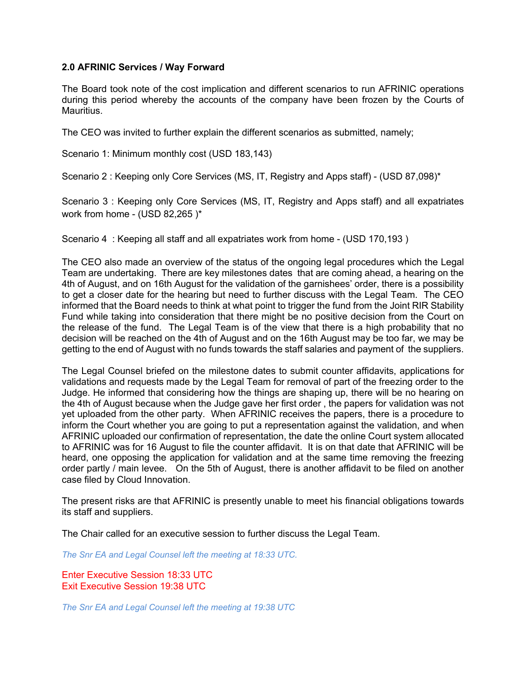#### **2.0 AFRINIC Services / Way Forward**

The Board took note of the cost implication and different scenarios to run AFRINIC operations during this period whereby the accounts of the company have been frozen by the Courts of Mauritius.

The CEO was invited to further explain the different scenarios as submitted, namely;

Scenario 1: Minimum monthly cost (USD 183,143)

Scenario 2 : Keeping only Core Services (MS, IT, Registry and Apps staff) - (USD 87,098)\*

Scenario 3 : Keeping only Core Services (MS, IT, Registry and Apps staff) and all expatriates work from home - (USD 82,265 )\*

Scenario 4 : Keeping all staff and all expatriates work from home - (USD 170,193 )

The CEO also made an overview of the status of the ongoing legal procedures which the Legal Team are undertaking. There are key milestones dates that are coming ahead, a hearing on the 4th of August, and on 16th August for the validation of the garnishees' order, there is a possibility to get a closer date for the hearing but need to further discuss with the Legal Team. The CEO informed that the Board needs to think at what point to trigger the fund from the Joint RIR Stability Fund while taking into consideration that there might be no positive decision from the Court on the release of the fund. The Legal Team is of the view that there is a high probability that no decision will be reached on the 4th of August and on the 16th August may be too far, we may be getting to the end of August with no funds towards the staff salaries and payment of the suppliers.

The Legal Counsel briefed on the milestone dates to submit counter affidavits, applications for validations and requests made by the Legal Team for removal of part of the freezing order to the Judge. He informed that considering how the things are shaping up, there will be no hearing on the 4th of August because when the Judge gave her first order , the papers for validation was not yet uploaded from the other party. When AFRINIC receives the papers, there is a procedure to inform the Court whether you are going to put a representation against the validation, and when AFRINIC uploaded our confirmation of representation, the date the online Court system allocated to AFRINIC was for 16 August to file the counter affidavit. It is on that date that AFRINIC will be heard, one opposing the application for validation and at the same time removing the freezing order partly / main levee. On the 5th of August, there is another affidavit to be filed on another case filed by Cloud Innovation.

The present risks are that AFRINIC is presently unable to meet his financial obligations towards its staff and suppliers.

The Chair called for an executive session to further discuss the Legal Team.

*The Snr EA and Legal Counsel left the meeting at 18:33 UTC.*

Enter Executive Session 18:33 UTC Exit Executive Session 19:38 UTC

*The Snr EA and Legal Counsel left the meeting at 19:38 UTC*